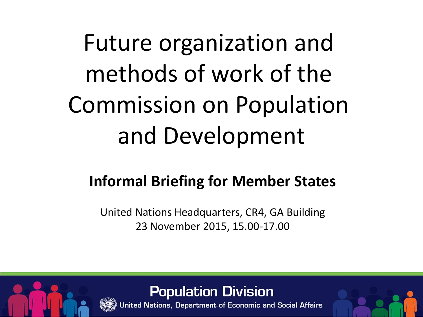Future organization and methods of work of the Commission on Population and Development

## **Informal Briefing for Member States**

United Nations Headquarters, CR4, GA Building 23 November 2015, 15.00-17.00

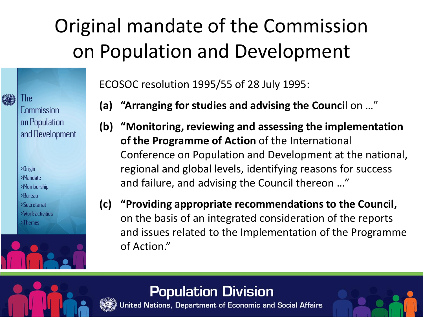# Original mandate of the Commission on Population and Development

The Commission on Population and Development

(O)

 $>$ Origin >Mandate >Membership  $>B$ ureau >Secretariat >Work activities >Themes

ECOSOC resolution 1995/55 of 28 July 1995:

- **(a) "Arranging for studies and advising the Counci**l on …"
- **(b) "Monitoring, reviewing and assessing the implementation of the Programme of Action** of the International Conference on Population and Development at the national, regional and global levels, identifying reasons for success and failure, and advising the Council thereon …"
- **(c) "Providing appropriate recommendations to the Council,**  on the basis of an integrated consideration of the reports and issues related to the Implementation of the Programme of Action."

#### **Population Division**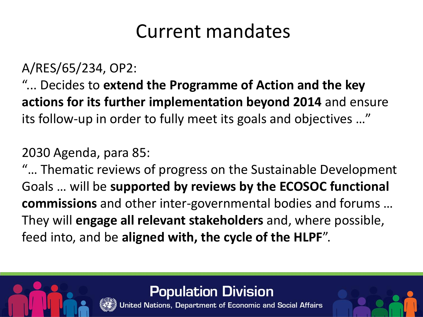## Current mandates

A/RES/65/234, OP2:

"... Decides to **extend the Programme of Action and the key actions for its further implementation beyond 2014** and ensure its follow-up in order to fully meet its goals and objectives …"

2030 Agenda, para 85:

"… Thematic reviews of progress on the Sustainable Development Goals … will be **supported by reviews by the ECOSOC functional commissions** and other inter-governmental bodies and forums … They will **engage all relevant stakeholders** and, where possible, feed into, and be **aligned with, the cycle of the HLPF**".

**Population Division**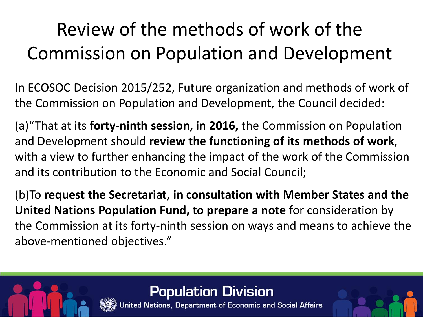# Review of the methods of work of the Commission on Population and Development

In ECOSOC Decision 2015/252, Future organization and methods of work of the Commission on Population and Development, the Council decided:

(a)"That at its **forty-ninth session, in 2016,** the Commission on Population and Development should **review the functioning of its methods of work**, with a view to further enhancing the impact of the work of the Commission and its contribution to the Economic and Social Council;

(b)To **request the Secretariat, in consultation with Member States and the United Nations Population Fund, to prepare a note** for consideration by the Commission at its forty-ninth session on ways and means to achieve the above-mentioned objectives."

## **Population Division**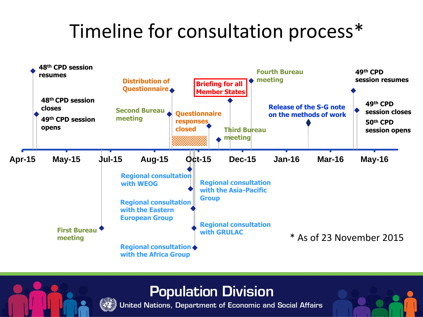# Timeline for consultation process\*



**Population Division**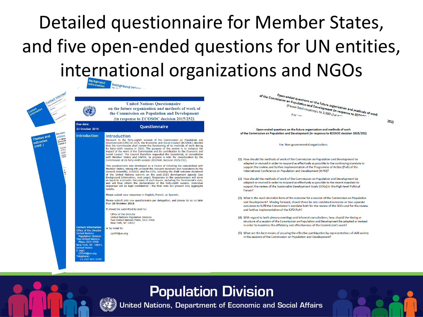# Detailed questionnaire for Member States, and five open-ended questions for UN entities, international organizations and NGOs



**United Nations Ouestionnaire** 

on the future organization and methods of work of the Commission on Population and Development

(in response to ECOSOC decision 2015/252) **Ouestionnaire** 

#### **Introduction**

Pursuant to the forty-eighth session of the Commission on Population and Development (CPD) in 2015, the Economic and Social Council (ECOSOC) decided that the Commission shall review the functioning of its methods of work during its forty-ninth session in 2016. The purpose of the review is to enhance the<br>impact of the work of the Commission and its contribution to the Economic and Social Council. The Council therefore requested the Secretariat, in consultation with Member States and UNFPA, to prepare a note for consideration by the Commission at its forty-ninth session (ECOSOC decision 2015/252).

This questionnaire was developed as a means of initiating the consultation with Member States, taking into account the relevant decisions and resolutions by the General Assembly, ECOSOC and the CPD, including the draft outcome document of the United Nations summit on the post-2015 development agenda (see Background Information, next page). Responses to the questionnaire will serve as input to a broader discussion of such issues, including the Secretariat's note, and will thus inform the deliberations of the forty-ninth session. Individual responses will be kept confidential - the final note will present only aggregate results.

Please submit your responses in English, French, or Spanish.

Please submit only one questionnaire per delegation, and please do so no later than 23 October 2015.

It should be submitted by mail to:

Office of the Director United Nations Population Division Two United Nations Plaza, DC2-1950 New York, NY 10017

or by email to cpd49@un.org

**Contact information:** 

Office of the Director

**ulation Division** 

ork. NY 10017

 $+1 - 212 - 963 - 3209$ 

Open-ended questions on the future organization and methods of<br>Imission on Population and Development (in response to ECOsons of Work<br>For: Thu Open-ended questions on the future organization and methods of<br>Please limit responses to 3,900 clin response to ECOSOR<br>For: Ital

 $2521$ 

Open-ended questions on the future organization and methods of work of the Commission on Population and Development (in response to ECOSOC decision 2015/252)

For: Non-governmental organizations

- (1) How should the methods of work of the Commission on Population and Development be adapted or revised in order to respond as effectively as possible to the continuing mandate to support the review and further implementation of the Programme of Action (PoA) of the International Conference on Population and Development (ICPD)?
- (2) How should the methods of work of the Commission on Population and Development be adapted or revised in order to respond as effectively as possible to the recent mandate to support the review of the Sustainable Development Goals (SDGs) in the High-level Political Forum?
- (3) What is the most desirable form of the outcome for a session of the Commission on Population and Development? Moving forward, should there be one combined outcome or two separate outcomes to fulfil the Commission's mandate both for the review of the SDGs and for the review and further implementation of the ICPD PoA?
- (4) With regard to both plenary meetings and informal consultations, how should the timing or structure of a session of the Commission on Population and Development he adapted or revised in order to maximize the efficiency and effectiveness of the Commission's work?
- (5) What are the best means of assuring the effective participation by representatives of civil society in the sessions of the Commission on Population and Development?

#### **Population Division**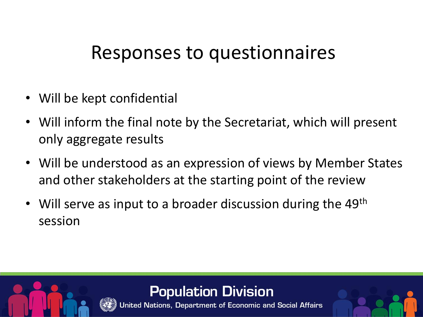## Responses to questionnaires

- Will be kept confidential
- Will inform the final note by the Secretariat, which will present only aggregate results
- Will be understood as an expression of views by Member States and other stakeholders at the starting point of the review
- Will serve as input to a broader discussion during the  $49<sup>th</sup>$ session

**Population Division**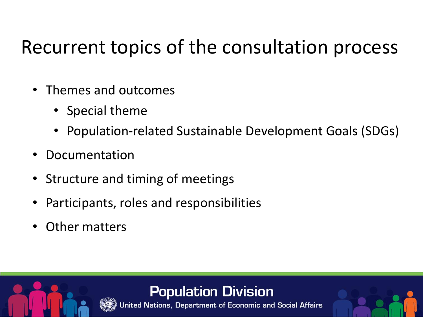# Recurrent topics of the consultation process

- Themes and outcomes
	- Special theme
	- Population-related Sustainable Development Goals (SDGs)
- **Documentation**
- Structure and timing of meetings
- Participants, roles and responsibilities
- Other matters

**Population Division**